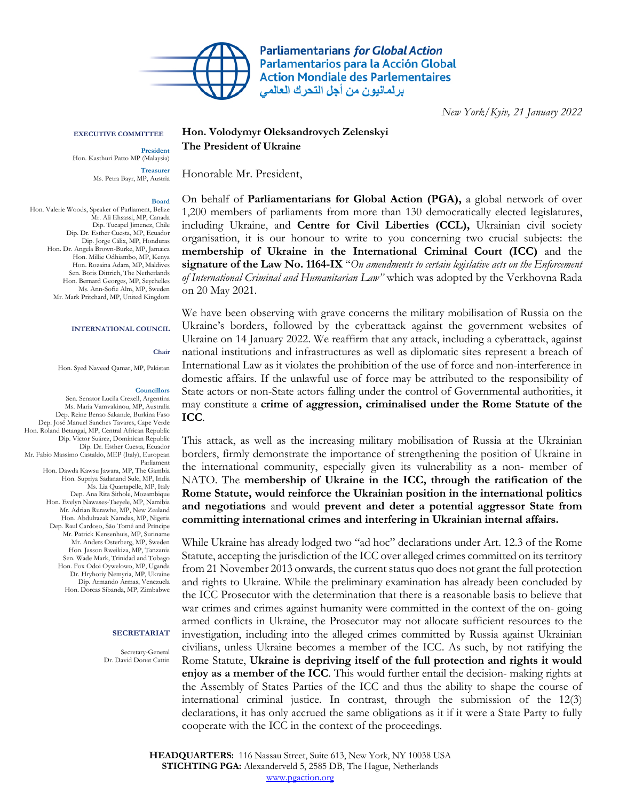

**Parliamentarians for Global Action** Parlamentarios para la Acción Global **Action Mondiale des Parlementaires** برلمانيون من أجل التحرك العالمي

*New York/Kyiv, 21 January 2022*

## **EXECUTIVE COMMITTEE**

**President** Hon. Kasthuri Patto MP (Malaysia) **Treasurer** Ms. Petra Bayr, MP, Austria

**Board**

Hon. Valerie Woods, Speaker of Parliament, Belize Mr. Ali Ehsassi, MP, Canada Dip. Tucapel Jimenez, Chile Dip. Dr. Esther Cuesta, MP, Ecuador Dip. Jorge Cálix, MP, Honduras Hon. Dr. Angela Brown-Burke, MP, Jamaica Hon. Millie Odhiambo, MP, Kenya Hon. Rozaina Adam, MP, Maldives Sen. Boris Dittrich, The Netherlands Hon. Bernard Georges, MP, Seychelles Ms. Ann-Sofie Alm, MP, Sweden Mr. Mark Pritchard, MP, United Kingdom

## **INTERNATIONAL COUNCIL**

**Chair**

Hon. Syed Naveed Qamar, MP, Pakistan

## **Councillors**

Sen. Senator Lucila Crexell, Argentina Ms. Maria Vamvakinou, MP, Australia Dep. Reine Benao Sakande, Burkina Faso Dep. José Manuel Sanches Tavares, Cape Verde Hon. Roland Betangai, MP, Central African Republic Dip. Victor Suárez, Dominican Republic Dip. Dr. Esther Cuesta, Ecuador Mr. Fabio Massimo Castaldo, MEP (Italy), European Parliament Hon. Dawda Kawsu Jawara, MP, The Gambia Hon. Supriya Sadanand Sule, MP, India Ms. Lia Quartapelle, MP, Italy Dep. Ana Rita Sithole, Mozambique Hon. Evelyn Nawases-Taeyele, MP, Namibia Mr. Adrian Rurawhe, MP, New Zealand Hon. Abdulrazak Namdas, MP, Nigeria Dep. Raul Cardoso, São Tomé and Príncipe Mr. Patrick Kensenhuis, MP, Suriname Mr. Anders Österberg, MP, Sweden Hon. Jasson Rweikiza, MP, Tanzania Sen. Wade Mark, Trinidad and Tobago Hon. Fox Odoi Oywelowo, MP, Uganda Dr. Hryhoriy Nemyria, MP, Ukraine Dip. Armando Armas, Venezuela Hon. Dorcas Sibanda, MP, Zimbabwe

## **SECRETARIAT**

Secretary-General Dr. David Donat Cattin **Hon. Volodymyr Oleksandrovych Zelenskyi The President of Ukraine**

Honorable Mr. President,

On behalf of **Parliamentarians for Global Action (PGA),** a global network of over 1,200 members of parliaments from more than 130 democratically elected legislatures, including Ukraine, and **Centre for Civil Liberties (CCL),** Ukrainian civil society organisation, it is our honour to write to you concerning two crucial subjects: the **membership of Ukraine in the International Criminal Court (ICC)** and the **signature of the Law No. 1164-IX** "*On amendments to certain legislative acts on the Enforcement of International Criminal and Humanitarian Law"* which was adopted by the Verkhovna Rada on 20 May 2021.

We have been observing with grave concerns the military mobilisation of Russia on the Ukraine's borders, followed by the cyberattack against the government websites of Ukraine on 14 January 2022. We reaffirm that any attack, including a cyberattack, against national institutions and infrastructures as well as diplomatic sites represent a breach of International Law as it violates the prohibition of the use of force and non-interference in domestic affairs. If the unlawful use of force may be attributed to the responsibility of State actors or non-State actors falling under the control of Governmental authorities, it may constitute a **crime of aggression, criminalised under the Rome Statute of the ICC**.

This attack, as well as the increasing military mobilisation of Russia at the Ukrainian borders, firmly demonstrate the importance of strengthening the position of Ukraine in the international community, especially given its vulnerability as a non- member of NATO. The **membership of Ukraine in the ICC, through the ratification of the Rome Statute, would reinforce the Ukrainian position in the international politics and negotiations** and would **prevent and deter a potential aggressor State from committing international crimes and interfering in Ukrainian internal affairs.**

While Ukraine has already lodged two "ad hoc" declarations under Art. 12.3 of the Rome Statute, accepting the jurisdiction of the ICC over alleged crimes committed on its territory from 21 November 2013 onwards, the current status quo does not grant the full protection and rights to Ukraine. While the preliminary examination has already been concluded by the ICC Prosecutor with the determination that there is a reasonable basis to believe that war crimes and crimes against humanity were committed in the context of the on- going armed conflicts in Ukraine, the Prosecutor may not allocate sufficient resources to the investigation, including into the alleged crimes committed by Russia against Ukrainian civilians, unless Ukraine becomes a member of the ICC. As such, by not ratifying the Rome Statute, **Ukraine is depriving itself of the full protection and rights it would enjoy as a member of the ICC**. This would further entail the decision- making rights at the Assembly of States Parties of the ICC and thus the ability to shape the course of international criminal justice. In contrast, through the submission of the 12(3) declarations, it has only accrued the same obligations as it if it were a State Party to fully cooperate with the ICC in the context of the proceedings.

**HEADQUARTERS:** 116 Nassau Street, Suite 613, New York, NY 10038 USA **STICHTING PGA:** Alexanderveld 5, 2585 DB, The Hague, Netherlands www.pgaction.org